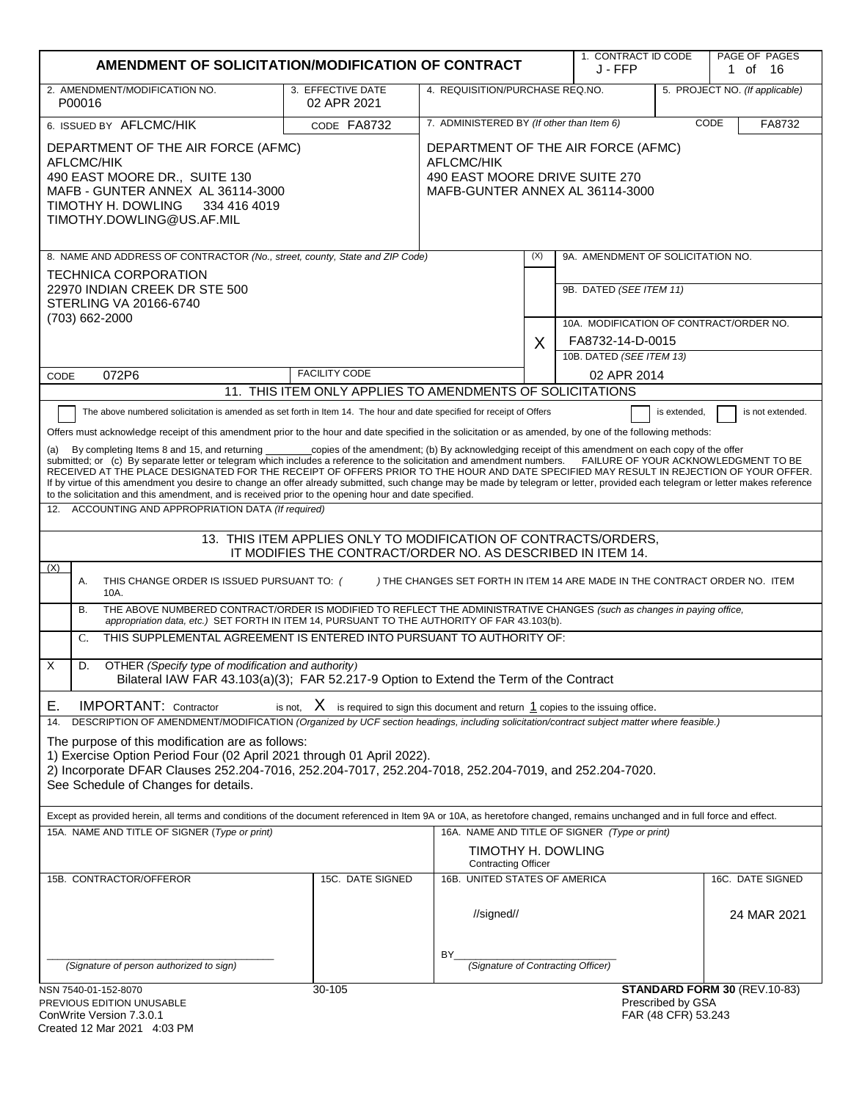|                                                                                                                                                                                                                                                                                                                                                                                                                                                                                                                                                                                                                                                                                                                                                                                                                                                                                                                                                                                                                                                                                                                                                                                                                                                                                                                                                                                                                                                                                                                                                                                                                                                                                                                                                                                                                                                                                                                                                                                                                                                                                                                                                                                                | AMENDMENT OF SOLICITATION/MODIFICATION OF CONTRACT                                                                    |                                                  |                                           |                                                             |                                          | PAGE OF PAGES<br>1 of 16       |
|------------------------------------------------------------------------------------------------------------------------------------------------------------------------------------------------------------------------------------------------------------------------------------------------------------------------------------------------------------------------------------------------------------------------------------------------------------------------------------------------------------------------------------------------------------------------------------------------------------------------------------------------------------------------------------------------------------------------------------------------------------------------------------------------------------------------------------------------------------------------------------------------------------------------------------------------------------------------------------------------------------------------------------------------------------------------------------------------------------------------------------------------------------------------------------------------------------------------------------------------------------------------------------------------------------------------------------------------------------------------------------------------------------------------------------------------------------------------------------------------------------------------------------------------------------------------------------------------------------------------------------------------------------------------------------------------------------------------------------------------------------------------------------------------------------------------------------------------------------------------------------------------------------------------------------------------------------------------------------------------------------------------------------------------------------------------------------------------------------------------------------------------------------------------------------------------|-----------------------------------------------------------------------------------------------------------------------|--------------------------------------------------|-------------------------------------------|-------------------------------------------------------------|------------------------------------------|--------------------------------|
| 2. AMENDMENT/MODIFICATION NO.<br>P00016                                                                                                                                                                                                                                                                                                                                                                                                                                                                                                                                                                                                                                                                                                                                                                                                                                                                                                                                                                                                                                                                                                                                                                                                                                                                                                                                                                                                                                                                                                                                                                                                                                                                                                                                                                                                                                                                                                                                                                                                                                                                                                                                                        | 3. EFFECTIVE DATE<br>02 APR 2021                                                                                      | 4. REQUISITION/PURCHASE REQ.NO.                  |                                           |                                                             |                                          | 5. PROJECT NO. (If applicable) |
| 6. ISSUED BY AFLCMC/HIK                                                                                                                                                                                                                                                                                                                                                                                                                                                                                                                                                                                                                                                                                                                                                                                                                                                                                                                                                                                                                                                                                                                                                                                                                                                                                                                                                                                                                                                                                                                                                                                                                                                                                                                                                                                                                                                                                                                                                                                                                                                                                                                                                                        | CODE FA8732                                                                                                           |                                                  | 7. ADMINISTERED BY (If other than Item 6) |                                                             |                                          | CODE<br>FA8732                 |
| DEPARTMENT OF THE AIR FORCE (AFMC)<br><b>AFLCMC/HIK</b><br>490 EAST MOORE DR., SUITE 130<br>MAFB - GUNTER ANNEX AL 36114-3000<br>TIMOTHY H. DOWLING<br>334 416 4019<br>TIMOTHY.DOWLING@US.AF.MIL                                                                                                                                                                                                                                                                                                                                                                                                                                                                                                                                                                                                                                                                                                                                                                                                                                                                                                                                                                                                                                                                                                                                                                                                                                                                                                                                                                                                                                                                                                                                                                                                                                                                                                                                                                                                                                                                                                                                                                                               | DEPARTMENT OF THE AIR FORCE (AFMC)<br>AFLCMC/HIK<br>490 EAST MOORE DRIVE SUITE 270<br>MAFB-GUNTER ANNEX AL 36114-3000 |                                                  |                                           |                                                             |                                          |                                |
| 8. NAME AND ADDRESS OF CONTRACTOR (No., street, county, State and ZIP Code)                                                                                                                                                                                                                                                                                                                                                                                                                                                                                                                                                                                                                                                                                                                                                                                                                                                                                                                                                                                                                                                                                                                                                                                                                                                                                                                                                                                                                                                                                                                                                                                                                                                                                                                                                                                                                                                                                                                                                                                                                                                                                                                    |                                                                                                                       |                                                  | (X)                                       | 9A. AMENDMENT OF SOLICITATION NO.                           |                                          |                                |
| <b>TECHNICA CORPORATION</b><br>22970 INDIAN CREEK DR STE 500<br>STERLING VA 20166-6740<br>(703) 662-2000                                                                                                                                                                                                                                                                                                                                                                                                                                                                                                                                                                                                                                                                                                                                                                                                                                                                                                                                                                                                                                                                                                                                                                                                                                                                                                                                                                                                                                                                                                                                                                                                                                                                                                                                                                                                                                                                                                                                                                                                                                                                                       |                                                                                                                       |                                                  |                                           | 9B. DATED (SEE ITEM 11)                                     |                                          |                                |
|                                                                                                                                                                                                                                                                                                                                                                                                                                                                                                                                                                                                                                                                                                                                                                                                                                                                                                                                                                                                                                                                                                                                                                                                                                                                                                                                                                                                                                                                                                                                                                                                                                                                                                                                                                                                                                                                                                                                                                                                                                                                                                                                                                                                |                                                                                                                       |                                                  | X                                         | 10A. MODIFICATION OF CONTRACT/ORDER NO.<br>FA8732-14-D-0015 |                                          |                                |
|                                                                                                                                                                                                                                                                                                                                                                                                                                                                                                                                                                                                                                                                                                                                                                                                                                                                                                                                                                                                                                                                                                                                                                                                                                                                                                                                                                                                                                                                                                                                                                                                                                                                                                                                                                                                                                                                                                                                                                                                                                                                                                                                                                                                |                                                                                                                       |                                                  |                                           | 10B. DATED (SEE ITEM 13)                                    |                                          |                                |
| 072P6<br>CODE                                                                                                                                                                                                                                                                                                                                                                                                                                                                                                                                                                                                                                                                                                                                                                                                                                                                                                                                                                                                                                                                                                                                                                                                                                                                                                                                                                                                                                                                                                                                                                                                                                                                                                                                                                                                                                                                                                                                                                                                                                                                                                                                                                                  | <b>FACILITY CODE</b>                                                                                                  |                                                  |                                           | 02 APR 2014                                                 |                                          |                                |
|                                                                                                                                                                                                                                                                                                                                                                                                                                                                                                                                                                                                                                                                                                                                                                                                                                                                                                                                                                                                                                                                                                                                                                                                                                                                                                                                                                                                                                                                                                                                                                                                                                                                                                                                                                                                                                                                                                                                                                                                                                                                                                                                                                                                | 11. THIS ITEM ONLY APPLIES TO AMENDMENTS OF SOLICITATIONS                                                             |                                                  |                                           |                                                             |                                          |                                |
| The above numbered solicitation is amended as set forth in Item 14. The hour and date specified for receipt of Offers<br>is not extended.<br>is extended,<br>Offers must acknowledge receipt of this amendment prior to the hour and date specified in the solicitation or as amended, by one of the following methods:<br>By completing Items 8 and 15, and returning<br>copies of the amendment; (b) By acknowledging receipt of this amendment on each copy of the offer<br>submitted; or (c) By separate letter or telegram which includes a reference to the solicitation and amendment numbers. FAILURE OF YOUR ACKNOWLEDGMENT TO BE<br>RECEIVED AT THE PLACE DESIGNATED FOR THE RECEIPT OF OFFERS PRIOR TO THE HOUR AND DATE SPECIFIED MAY RESULT IN REJECTION OF YOUR OFFER.<br>If by virtue of this amendment you desire to change an offer already submitted, such change may be made by telegram or letter, provided each telegram or letter makes reference<br>to the solicitation and this amendment, and is received prior to the opening hour and date specified.<br>ACCOUNTING AND APPROPRIATION DATA (If required)<br>12.<br>13. THIS ITEM APPLIES ONLY TO MODIFICATION OF CONTRACTS/ORDERS,<br>IT MODIFIES THE CONTRACT/ORDER NO. AS DESCRIBED IN ITEM 14.<br>(X)<br>Α.<br>THIS CHANGE ORDER IS ISSUED PURSUANT TO: (<br>) THE CHANGES SET FORTH IN ITEM 14 ARE MADE IN THE CONTRACT ORDER NO. ITEM<br>10A.<br>THE ABOVE NUMBERED CONTRACT/ORDER IS MODIFIED TO REFLECT THE ADMINISTRATIVE CHANGES (such as changes in paying office,<br>В.<br>appropriation data, etc.) SET FORTH IN ITEM 14, PURSUANT TO THE AUTHORITY OF FAR 43.103(b).<br>THIS SUPPLEMENTAL AGREEMENT IS ENTERED INTO PURSUANT TO AUTHORITY OF:<br>C.<br>X<br>D.<br>OTHER (Specify type of modification and authority)<br>Bilateral IAW FAR 43.103(a)(3); FAR 52.217-9 Option to Extend the Term of the Contract<br>is not, $X$ is required to sign this document and return $1$ copies to the issuing office.<br><b>IMPORTANT: Contractor</b><br>Е.<br>DESCRIPTION OF AMENDMENT/MODIFICATION (Organized by UCF section headings, including solicitation/contract subject matter where feasible.)<br>14. |                                                                                                                       |                                                  |                                           |                                                             |                                          |                                |
| The purpose of this modification are as follows:<br>1) Exercise Option Period Four (02 April 2021 through 01 April 2022).<br>2) Incorporate DFAR Clauses 252.204-7016, 252.204-7017, 252.204-7018, 252.204-7019, and 252.204-7020.<br>See Schedule of Changes for details.                                                                                                                                                                                                                                                                                                                                                                                                                                                                                                                                                                                                                                                                                                                                                                                                                                                                                                                                                                                                                                                                                                                                                                                                                                                                                                                                                                                                                                                                                                                                                                                                                                                                                                                                                                                                                                                                                                                     |                                                                                                                       |                                                  |                                           |                                                             |                                          |                                |
| Except as provided herein, all terms and conditions of the document referenced in Item 9A or 10A, as heretofore changed, remains unchanged and in full force and effect.<br>15A. NAME AND TITLE OF SIGNER (Type or print)                                                                                                                                                                                                                                                                                                                                                                                                                                                                                                                                                                                                                                                                                                                                                                                                                                                                                                                                                                                                                                                                                                                                                                                                                                                                                                                                                                                                                                                                                                                                                                                                                                                                                                                                                                                                                                                                                                                                                                      |                                                                                                                       |                                                  |                                           | 16A. NAME AND TITLE OF SIGNER (Type or print)               |                                          |                                |
|                                                                                                                                                                                                                                                                                                                                                                                                                                                                                                                                                                                                                                                                                                                                                                                                                                                                                                                                                                                                                                                                                                                                                                                                                                                                                                                                                                                                                                                                                                                                                                                                                                                                                                                                                                                                                                                                                                                                                                                                                                                                                                                                                                                                |                                                                                                                       | TIMOTHY H. DOWLING<br><b>Contracting Officer</b> |                                           |                                                             |                                          |                                |
| 15B. CONTRACTOR/OFFEROR                                                                                                                                                                                                                                                                                                                                                                                                                                                                                                                                                                                                                                                                                                                                                                                                                                                                                                                                                                                                                                                                                                                                                                                                                                                                                                                                                                                                                                                                                                                                                                                                                                                                                                                                                                                                                                                                                                                                                                                                                                                                                                                                                                        | 15C. DATE SIGNED                                                                                                      | 16B. UNITED STATES OF AMERICA                    |                                           |                                                             |                                          | 16C. DATE SIGNED               |
|                                                                                                                                                                                                                                                                                                                                                                                                                                                                                                                                                                                                                                                                                                                                                                                                                                                                                                                                                                                                                                                                                                                                                                                                                                                                                                                                                                                                                                                                                                                                                                                                                                                                                                                                                                                                                                                                                                                                                                                                                                                                                                                                                                                                |                                                                                                                       | //signed//                                       |                                           |                                                             |                                          | 24 MAR 2021                    |
| (Signature of person authorized to sign)                                                                                                                                                                                                                                                                                                                                                                                                                                                                                                                                                                                                                                                                                                                                                                                                                                                                                                                                                                                                                                                                                                                                                                                                                                                                                                                                                                                                                                                                                                                                                                                                                                                                                                                                                                                                                                                                                                                                                                                                                                                                                                                                                       |                                                                                                                       | BY.<br>(Signature of Contracting Officer)        |                                           |                                                             |                                          |                                |
| NSN 7540-01-152-8070                                                                                                                                                                                                                                                                                                                                                                                                                                                                                                                                                                                                                                                                                                                                                                                                                                                                                                                                                                                                                                                                                                                                                                                                                                                                                                                                                                                                                                                                                                                                                                                                                                                                                                                                                                                                                                                                                                                                                                                                                                                                                                                                                                           | 30-105                                                                                                                |                                                  |                                           |                                                             |                                          | STANDARD FORM 30 (REV.10-83)   |
| PREVIOUS EDITION UNUSABLE<br>ConWrite Version 7 3 0 1                                                                                                                                                                                                                                                                                                                                                                                                                                                                                                                                                                                                                                                                                                                                                                                                                                                                                                                                                                                                                                                                                                                                                                                                                                                                                                                                                                                                                                                                                                                                                                                                                                                                                                                                                                                                                                                                                                                                                                                                                                                                                                                                          |                                                                                                                       |                                                  |                                           |                                                             | Prescribed by GSA<br>FAR (48 CFR) 53 243 |                                |

| ConWrite Version 7.3.0.1    |  |
|-----------------------------|--|
| Created 12 Mar 2021 4:03 PM |  |

FAR (48 CFR) 53.243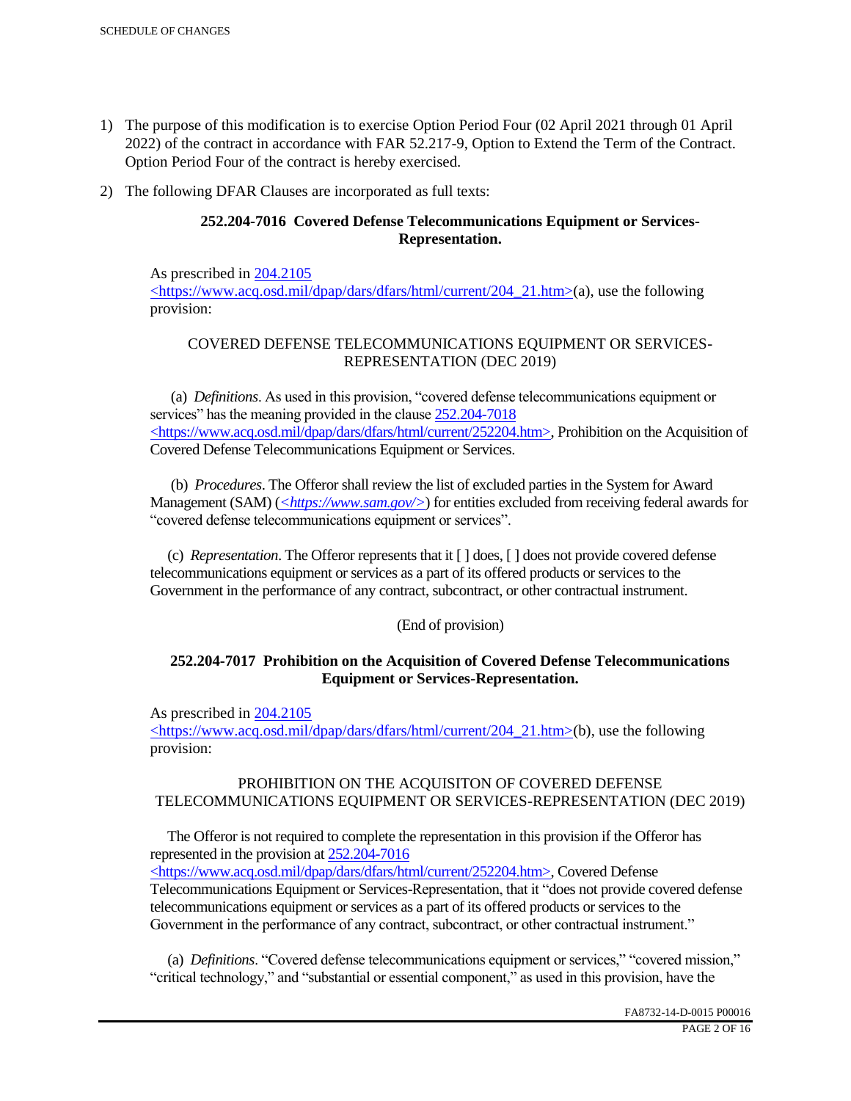- 1) The purpose of this modification is to exercise Option Period Four (02 April 2021 through 01 April 2022) of the contract in accordance with FAR 52.217-9, Option to Extend the Term of the Contract. Option Period Four of the contract is hereby exercised.
- 2) The following DFAR Clauses are incorporated as full texts:

# **252.204-7016 Covered Defense Telecommunications Equipment or Services-Representation.**

As prescribed in 204.2105 <https://www.acq.osd.mil/dpap/dars/dfars/html/current/204\_21.htm>(a), use the following provision:

# COVERED DEFENSE TELECOMMUNICATIONS EQUIPMENT OR SERVICES-REPRESENTATION (DEC 2019)

 (a) *Definitions*. As used in this provision, "covered defense telecommunications equipment or services" has the meaning provided in the clause  $252.204 - 7018$ <https://www.acq.osd.mil/dpap/dars/dfars/html/current/252204.htm>, Prohibition on the Acquisition of Covered Defense Telecommunications Equipment or Services.

 (b) *Procedures*. The Offeror shall review the list of excluded parties in the System for Award Management (SAM) (*<https://www.sam.gov/>*) for entities excluded from receiving federal awards for "covered defense telecommunications equipment or services".

 (c) *Representation*. The Offeror represents that it [ ] does, [ ] does not provide covered defense telecommunications equipment or services as a part of its offered products or services to the Government in the performance of any contract, subcontract, or other contractual instrument.

## (End of provision)

## **252.204-7017 Prohibition on the Acquisition of Covered Defense Telecommunications Equipment or Services-Representation.**

As prescribed in 204.2105

<https://www.acq.osd.mil/dpap/dars/dfars/html/current/204\_21.htm>(b), use the following provision:

## PROHIBITION ON THE ACQUISITON OF COVERED DEFENSE TELECOMMUNICATIONS EQUIPMENT OR SERVICES-REPRESENTATION (DEC 2019)

 The Offeror is not required to complete the representation in this provision if the Offeror has represented in the provision at 252.204-7016

<https://www.acq.osd.mil/dpap/dars/dfars/html/current/252204.htm>, Covered Defense Telecommunications Equipment or Services-Representation, that it "does not provide covered defense telecommunications equipment or services as a part of its offered products or services to the Government in the performance of any contract, subcontract, or other contractual instrument."

 (a) *Definitions*. "Covered defense telecommunications equipment or services," "covered mission," "critical technology," and "substantial or essential component," as used in this provision, have the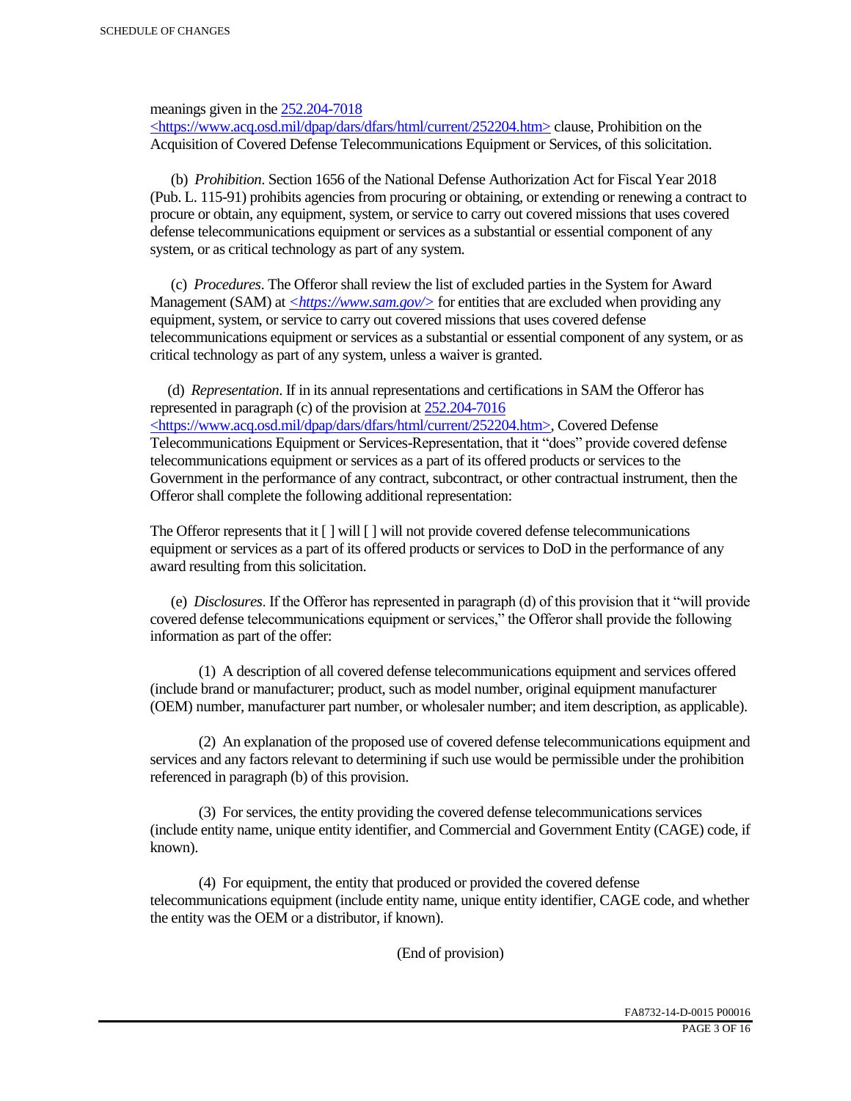meanings given in the 252.204-7018

 $\langle$ https://www.acq.osd.mil/dpap/dars/dfars/html/current/252204.htm> clause, Prohibition on the Acquisition of Covered Defense Telecommunications Equipment or Services, of this solicitation.

 (b) *Prohibition*. Section 1656 of the National Defense Authorization Act for Fiscal Year 2018 (Pub. L. 115-91) prohibits agencies from procuring or obtaining, or extending or renewing a contract to procure or obtain, any equipment, system, or service to carry out covered missions that uses covered defense telecommunications equipment or services as a substantial or essential component of any system, or as critical technology as part of any system.

 (c) *Procedures*. The Offeror shall review the list of excluded parties in the System for Award Management (SAM) at  $\leq$ https://www.sam.gov/> for entities that are excluded when providing any equipment, system, or service to carry out covered missions that uses covered defense telecommunications equipment or services as a substantial or essential component of any system, or as critical technology as part of any system, unless a waiver is granted.

 (d) *Representation*. If in its annual representations and certifications in SAM the Offeror has represented in paragraph (c) of the provision at 252.204-7016 <https://www.acq.osd.mil/dpap/dars/dfars/html/current/252204.htm>, Covered Defense Telecommunications Equipment or Services-Representation, that it "does" provide covered defense telecommunications equipment or services as a part of its offered products or services to the Government in the performance of any contract, subcontract, or other contractual instrument, then the Offeror shall complete the following additional representation:

The Offeror represents that it  $\lceil \cdot \rceil$  will  $\lceil \cdot \rceil$  will not provide covered defense telecommunications equipment or services as a part of its offered products or services to DoD in the performance of any award resulting from this solicitation.

 (e) *Disclosures*. If the Offeror has represented in paragraph (d) of this provision that it "will provide covered defense telecommunications equipment or services," the Offeror shall provide the following information as part of the offer:

 (1) A description of all covered defense telecommunications equipment and services offered (include brand or manufacturer; product, such as model number, original equipment manufacturer (OEM) number, manufacturer part number, or wholesaler number; and item description, as applicable).

 (2) An explanation of the proposed use of covered defense telecommunications equipment and services and any factors relevant to determining if such use would be permissible under the prohibition referenced in paragraph (b) of this provision.

 (3) For services, the entity providing the covered defense telecommunications services (include entity name, unique entity identifier, and Commercial and Government Entity (CAGE) code, if known).

 (4) For equipment, the entity that produced or provided the covered defense telecommunications equipment (include entity name, unique entity identifier, CAGE code, and whether the entity was the OEM or a distributor, if known).

(End of provision)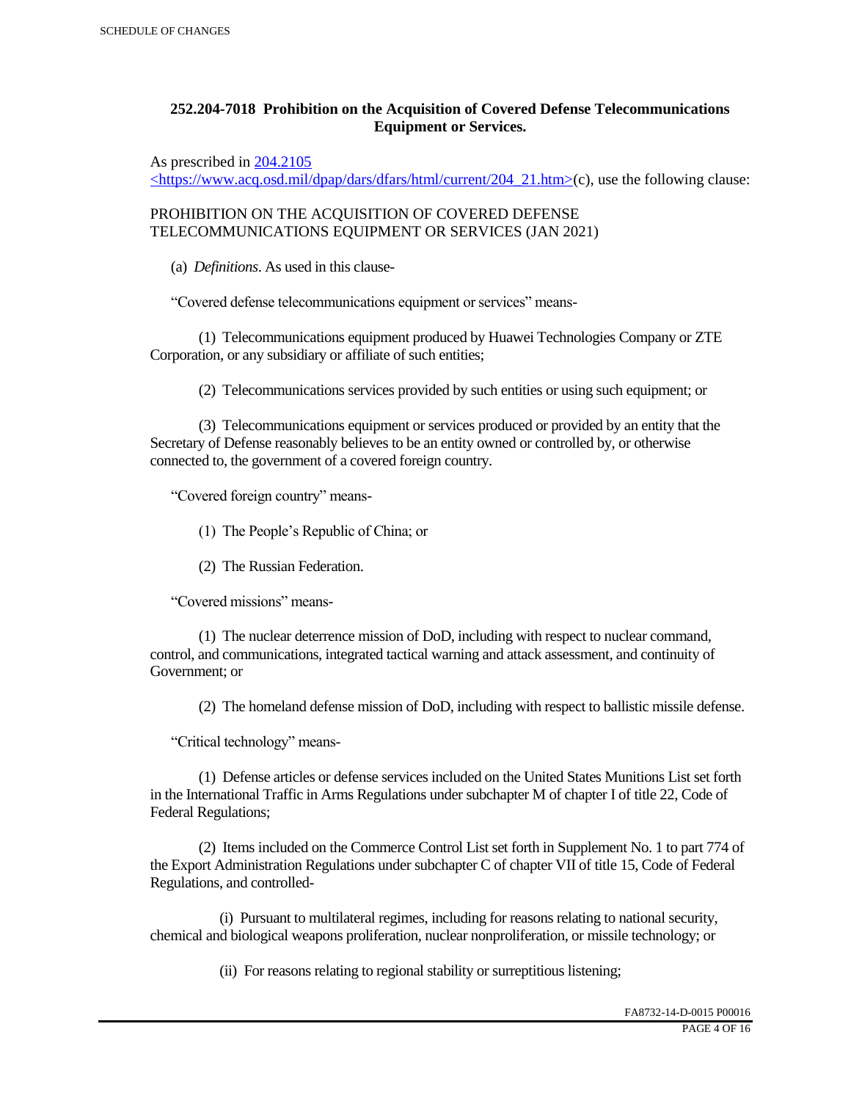# **252.204-7018 Prohibition on the Acquisition of Covered Defense Telecommunications Equipment or Services.**

As prescribed in 204.2105

 $\langle$ https://www.acq.osd.mil/dpap/dars/dfars/html/current/204\_21.htm>(c), use the following clause:

PROHIBITION ON THE ACQUISITION OF COVERED DEFENSE TELECOMMUNICATIONS EQUIPMENT OR SERVICES (JAN 2021)

(a) *Definitions*. As used in this clause-

"Covered defense telecommunications equipment or services" means-

 (1) Telecommunications equipment produced by Huawei Technologies Company or ZTE Corporation, or any subsidiary or affiliate of such entities;

(2) Telecommunications services provided by such entities or using such equipment; or

 (3) Telecommunications equipment or services produced or provided by an entity that the Secretary of Defense reasonably believes to be an entity owned or controlled by, or otherwise connected to, the government of a covered foreign country.

"Covered foreign country" means-

(1) The People's Republic of China; or

(2) The Russian Federation.

"Covered missions" means-

 (1) The nuclear deterrence mission of DoD, including with respect to nuclear command, control, and communications, integrated tactical warning and attack assessment, and continuity of Government; or

(2) The homeland defense mission of DoD, including with respect to ballistic missile defense.

"Critical technology" means-

 (1) Defense articles or defense services included on the United States Munitions List set forth in the International Traffic in Arms Regulations under subchapter M of chapter I of title 22, Code of Federal Regulations;

 (2) Items included on the Commerce Control List set forth in Supplement No. 1 to part 774 of the Export Administration Regulations under subchapter C of chapter VII of title 15, Code of Federal Regulations, and controlled-

 (i) Pursuant to multilateral regimes, including for reasons relating to national security, chemical and biological weapons proliferation, nuclear nonproliferation, or missile technology; or

(ii) For reasons relating to regional stability or surreptitious listening;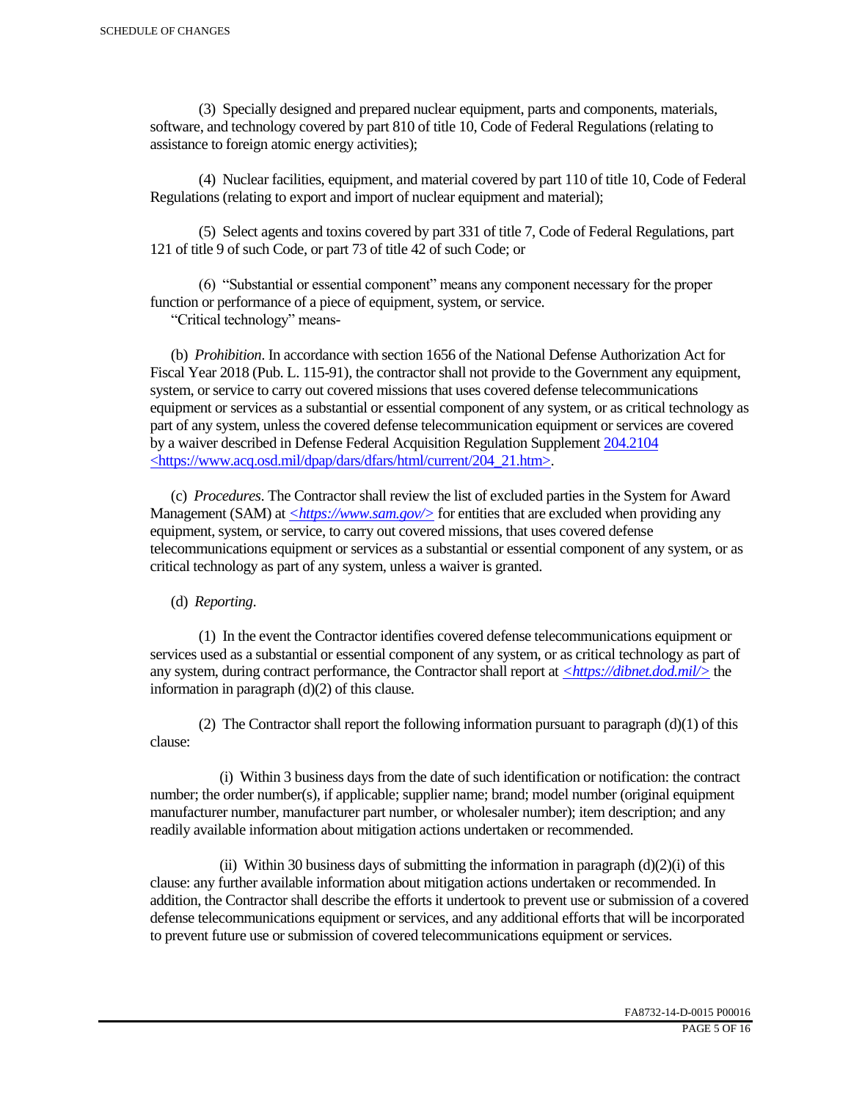(3) Specially designed and prepared nuclear equipment, parts and components, materials, software, and technology covered by part 810 of title 10, Code of Federal Regulations (relating to assistance to foreign atomic energy activities);

 (4) Nuclear facilities, equipment, and material covered by part 110 of title 10, Code of Federal Regulations (relating to export and import of nuclear equipment and material);

 (5) Select agents and toxins covered by part 331 of title 7, Code of Federal Regulations, part 121 of title 9 of such Code, or part 73 of title 42 of such Code; or

 (6) "Substantial or essential component" means any component necessary for the proper function or performance of a piece of equipment, system, or service.

"Critical technology" means-

 (b) *Prohibition*. In accordance with section 1656 of the National Defense Authorization Act for Fiscal Year 2018 (Pub. L. 115-91), the contractor shall not provide to the Government any equipment, system, or service to carry out covered missions that uses covered defense telecommunications equipment or services as a substantial or essential component of any system, or as critical technology as part of any system, unless the covered defense telecommunication equipment or services are covered by a waiver described in Defense Federal Acquisition Regulation Supplement 204.2104 <https://www.acq.osd.mil/dpap/dars/dfars/html/current/204\_21.htm>.

 (c) *Procedures*. The Contractor shall review the list of excluded parties in the System for Award Management (SAM) at  $\langle \frac{https://www.sam.gov/}{>}$  for entities that are excluded when providing any equipment, system, or service, to carry out covered missions, that uses covered defense telecommunications equipment or services as a substantial or essential component of any system, or as critical technology as part of any system, unless a waiver is granted.

(d) *Reporting*.

 (1) In the event the Contractor identifies covered defense telecommunications equipment or services used as a substantial or essential component of any system, or as critical technology as part of any system, during contract performance, the Contractor shall report at *<https://dibnet.dod.mil/>* the information in paragraph (d)(2) of this clause.

(2) The Contractor shall report the following information pursuant to paragraph  $(d)(1)$  of this clause:

 (i) Within 3 business days from the date of such identification or notification: the contract number; the order number(s), if applicable; supplier name; brand; model number (original equipment manufacturer number, manufacturer part number, or wholesaler number); item description; and any readily available information about mitigation actions undertaken or recommended.

(ii) Within 30 business days of submitting the information in paragraph  $(d)(2)(i)$  of this clause: any further available information about mitigation actions undertaken or recommended. In addition, the Contractor shall describe the efforts it undertook to prevent use or submission of a covered defense telecommunications equipment or services, and any additional efforts that will be incorporated to prevent future use or submission of covered telecommunications equipment or services.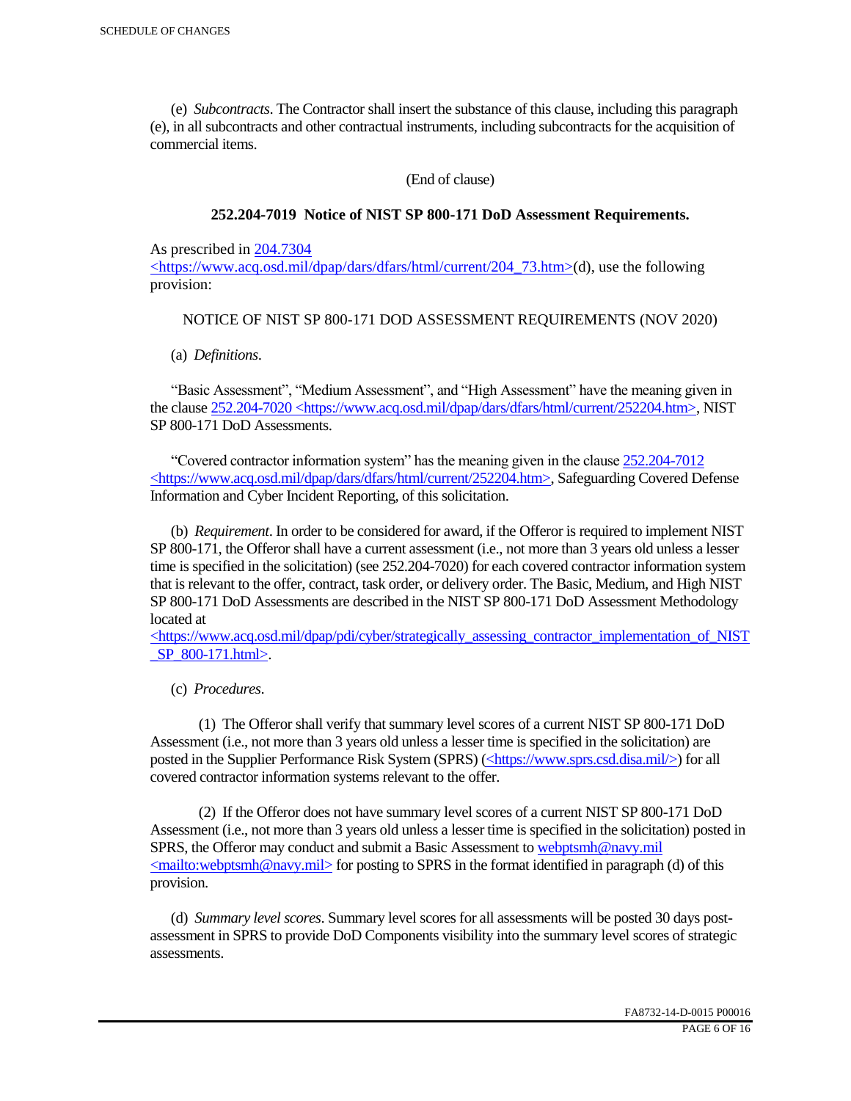(e) *Subcontracts*. The Contractor shall insert the substance of this clause, including this paragraph (e), in all subcontracts and other contractual instruments, including subcontracts for the acquisition of commercial items.

(End of clause)

### **252.204-7019 Notice of NIST SP 800-171 DoD Assessment Requirements.**

As prescribed in 204.7304

 $\langle$ https://www.acq.osd.mil/dpap/dars/dfars/html/current/204 73.htm>(d), use the following provision:

### NOTICE OF NIST SP 800-171 DOD ASSESSMENT REQUIREMENTS (NOV 2020)

(a) *Definitions*.

 "Basic Assessment", "Medium Assessment", and "High Assessment" have the meaning given in the clause 252.204-7020 <https://www.acq.osd.mil/dpap/dars/dfars/html/current/252204.htm>, NIST SP 800-171 DoD Assessments.

 "Covered contractor information system" has the meaning given in the clause 252.204-7012 <https://www.acq.osd.mil/dpap/dars/dfars/html/current/252204.htm>, Safeguarding Covered Defense Information and Cyber Incident Reporting, of this solicitation.

 (b) *Requirement*. In order to be considered for award, if the Offeror is required to implement NIST SP 800-171, the Offeror shall have a current assessment (i.e., not more than 3 years old unless a lesser time is specified in the solicitation) (see 252.204-7020) for each covered contractor information system that is relevant to the offer, contract, task order, or delivery order. The Basic, Medium, and High NIST SP 800-171 DoD Assessments are described in the NIST SP 800-171 DoD Assessment Methodology located at

 $\langle$ https://www.acq.osd.mil/dpap/pdi/cyber/strategically\_assessing\_contractor\_implementation\_of\_NIST \_SP\_800-171.html>.

(c) *Procedures*.

 (1) The Offeror shall verify that summary level scores of a current NIST SP 800-171 DoD Assessment (i.e., not more than 3 years old unless a lesser time is specified in the solicitation) are posted in the Supplier Performance Risk System (SPRS) (<https://www.sprs.csd.disa.mil/>) for all covered contractor information systems relevant to the offer.

 (2) If the Offeror does not have summary level scores of a current NIST SP 800-171 DoD Assessment (i.e., not more than 3 years old unless a lesser time is specified in the solicitation) posted in SPRS, the Offeror may conduct and submit a Basic Assessment to webptsmh@navy.mil  $\leq$ mailto:webptsmh@navy.mil> for posting to SPRS in the format identified in paragraph (d) of this provision.

 (d) *Summary level scores*. Summary level scores for all assessments will be posted 30 days postassessment in SPRS to provide DoD Components visibility into the summary level scores of strategic assessments.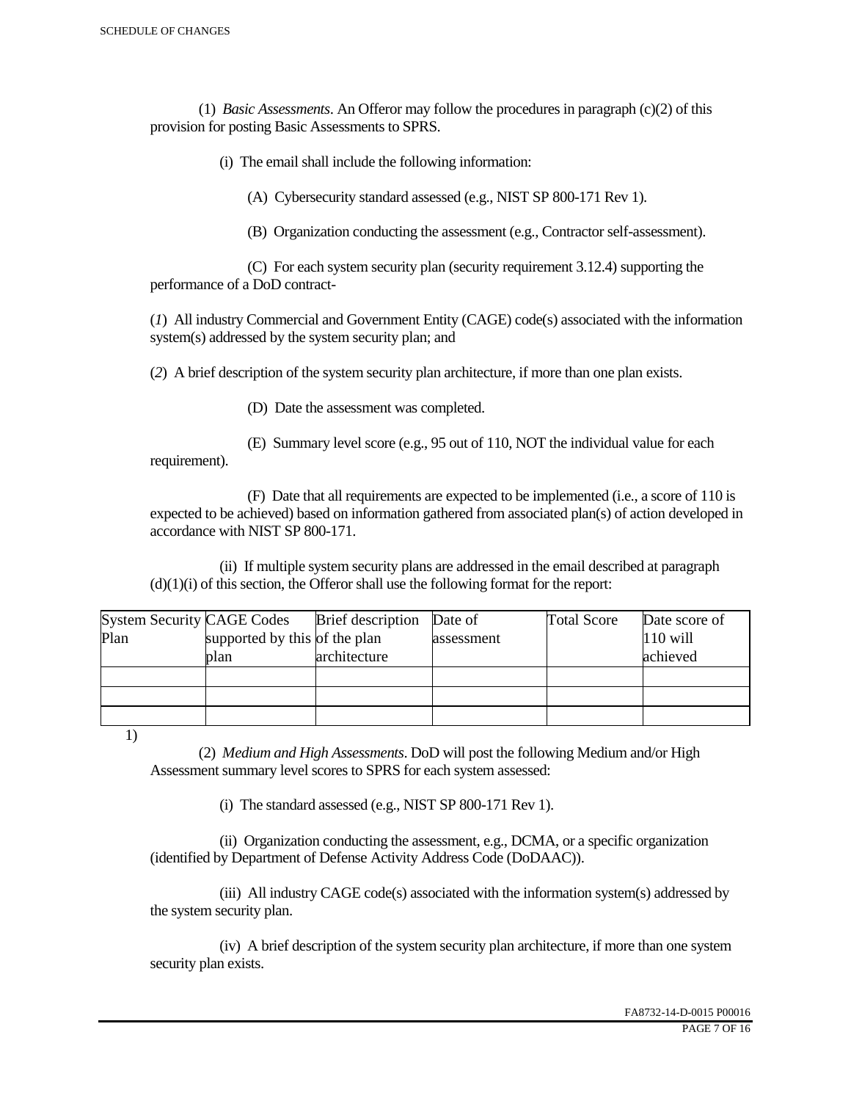(1) *Basic Assessments*. An Offeror may follow the procedures in paragraph (c)(2) of this provision for posting Basic Assessments to SPRS.

(i) The email shall include the following information:

(A) Cybersecurity standard assessed (e.g., NIST SP 800-171 Rev 1).

(B) Organization conducting the assessment (e.g., Contractor self-assessment).

 (C) For each system security plan (security requirement 3.12.4) supporting the performance of a DoD contract-

(*1*) All industry Commercial and Government Entity (CAGE) code(s) associated with the information system(s) addressed by the system security plan; and

(*2*) A brief description of the system security plan architecture, if more than one plan exists.

(D) Date the assessment was completed.

 (E) Summary level score (e.g., 95 out of 110, NOT the individual value for each requirement).

 (F) Date that all requirements are expected to be implemented (i.e., a score of 110 is expected to be achieved) based on information gathered from associated plan(s) of action developed in accordance with NIST SP 800-171.

 (ii) If multiple system security plans are addressed in the email described at paragraph  $(d)(1)(i)$  of this section, the Offeror shall use the following format for the report:

| <b>System Security CAGE Codes</b> |                               | <b>Brief</b> description | Date of    | <b>Total Score</b> | Date score of |
|-----------------------------------|-------------------------------|--------------------------|------------|--------------------|---------------|
| Plan                              | supported by this of the plan |                          | assessment |                    | $110$ will    |
|                                   | plan                          | architecture             |            |                    | achieved      |
|                                   |                               |                          |            |                    |               |
|                                   |                               |                          |            |                    |               |
|                                   |                               |                          |            |                    |               |

1)

 (2) *Medium and High Assessments*. DoD will post the following Medium and/or High Assessment summary level scores to SPRS for each system assessed:

(i) The standard assessed (e.g., NIST SP 800-171 Rev 1).

 (ii) Organization conducting the assessment, e.g., DCMA, or a specific organization (identified by Department of Defense Activity Address Code (DoDAAC)).

 (iii) All industry CAGE code(s) associated with the information system(s) addressed by the system security plan.

 (iv) A brief description of the system security plan architecture, if more than one system security plan exists.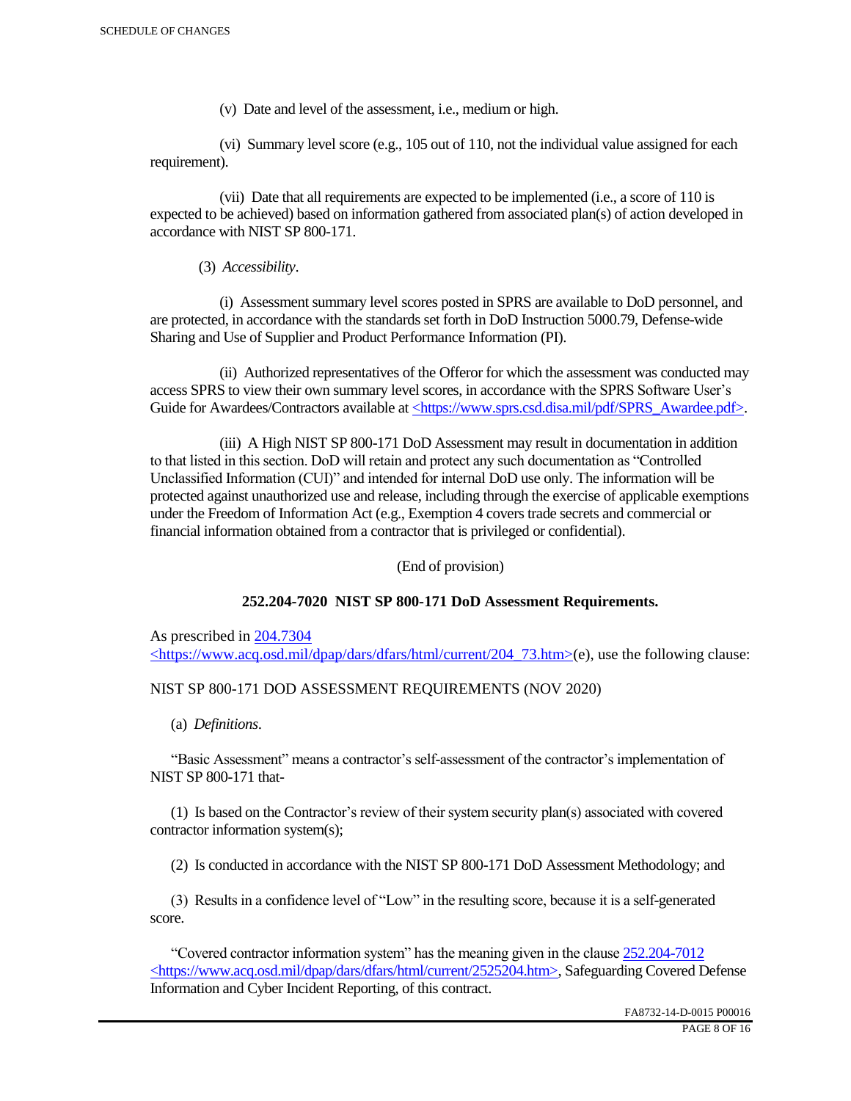(v) Date and level of the assessment, i.e., medium or high.

 (vi) Summary level score (e.g., 105 out of 110, not the individual value assigned for each requirement).

 (vii) Date that all requirements are expected to be implemented (i.e., a score of 110 is expected to be achieved) based on information gathered from associated plan(s) of action developed in accordance with NIST SP 800-171.

(3) *Accessibility*.

 (i) Assessment summary level scores posted in SPRS are available to DoD personnel, and are protected, in accordance with the standards set forth in DoD Instruction 5000.79, Defense-wide Sharing and Use of Supplier and Product Performance Information (PI).

 (ii) Authorized representatives of the Offeror for which the assessment was conducted may access SPRS to view their own summary level scores, in accordance with the SPRS Software User's Guide for Awardees/Contractors available at <https://www.sprs.csd.disa.mil/pdf/SPRS\_Awardee.pdf>.

 (iii) A High NIST SP 800-171 DoD Assessment may result in documentation in addition to that listed in this section. DoD will retain and protect any such documentation as "Controlled Unclassified Information (CUI)" and intended for internal DoD use only. The information will be protected against unauthorized use and release, including through the exercise of applicable exemptions under the Freedom of Information Act (e.g., Exemption 4 covers trade secrets and commercial or financial information obtained from a contractor that is privileged or confidential).

(End of provision)

## **252.204-7020 NIST SP 800-171 DoD Assessment Requirements.**

As prescribed in 204.7304 <https://www.acq.osd.mil/dpap/dars/dfars/html/current/204\_73.htm>(e), use the following clause:

## NIST SP 800-171 DOD ASSESSMENT REQUIREMENTS (NOV 2020)

(a) *Definitions*.

 "Basic Assessment" means a contractor's self-assessment of the contractor's implementation of NIST SP 800-171 that-

 (1) Is based on the Contractor's review of their system security plan(s) associated with covered contractor information system(s);

(2) Is conducted in accordance with the NIST SP 800-171 DoD Assessment Methodology; and

 (3) Results in a confidence level of "Low" in the resulting score, because it is a self-generated score.

 "Covered contractor information system" has the meaning given in the clause 252.204-7012 <https://www.acq.osd.mil/dpap/dars/dfars/html/current/2525204.htm>, Safeguarding Covered Defense Information and Cyber Incident Reporting, of this contract.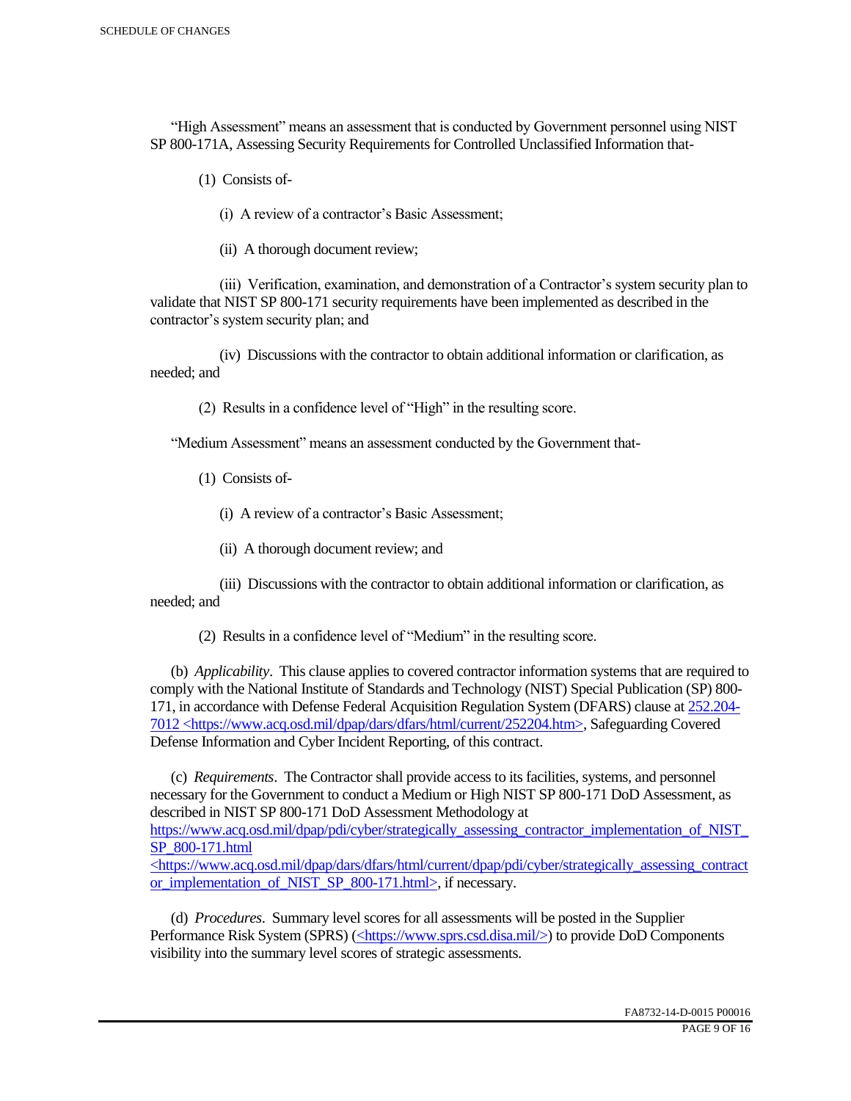"High Assessment" means an assessment that is conducted by Government personnel using NIST SP 800-171A, Assessing Security Requirements for Controlled Unclassified Information that-

(1) Consists of-

(i) A review of a contractor's Basic Assessment;

(ii) A thorough document review;

 (iii) Verification, examination, and demonstration of a Contractor's system security plan to validate that NIST SP 800-171 security requirements have been implemented as described in the contractor's system security plan; and

 (iv) Discussions with the contractor to obtain additional information or clarification, as needed; and

(2) Results in a confidence level of "High" in the resulting score.

"Medium Assessment" means an assessment conducted by the Government that-

(1) Consists of-

(i) A review of a contractor's Basic Assessment;

(ii) A thorough document review; and

 (iii) Discussions with the contractor to obtain additional information or clarification, as needed; and

(2) Results in a confidence level of "Medium" in the resulting score.

 (b) *Applicability*. This clause applies to covered contractor information systems that are required to comply with the National Institute of Standards and Technology (NIST) Special Publication (SP) 800- 171, in accordance with Defense Federal Acquisition Regulation System (DFARS) clause at 252.204- 7012 <https://www.acq.osd.mil/dpap/dars/dfars/html/current/252204.htm>, Safeguarding Covered Defense Information and Cyber Incident Reporting, of this contract.

 (c) *Requirements*. The Contractor shall provide access to its facilities, systems, and personnel necessary for the Government to conduct a Medium or High NIST SP 800-171 DoD Assessment, as described in NIST SP 800-171 DoD Assessment Methodology at https://www.acq.osd.mil/dpap/pdi/cyber/strategically\_assessing\_contractor\_implementation\_of\_NIST\_ SP\_800-171.html <https://www.acq.osd.mil/dpap/dars/dfars/html/current/dpap/pdi/cyber/strategically\_assessing\_contract

or implementation of NIST SP 800-171.html>, if necessary.

 (d) *Procedures*. Summary level scores for all assessments will be posted in the Supplier Performance Risk System (SPRS) (<https://www.sprs.csd.disa.mil/>) to provide DoD Components visibility into the summary level scores of strategic assessments.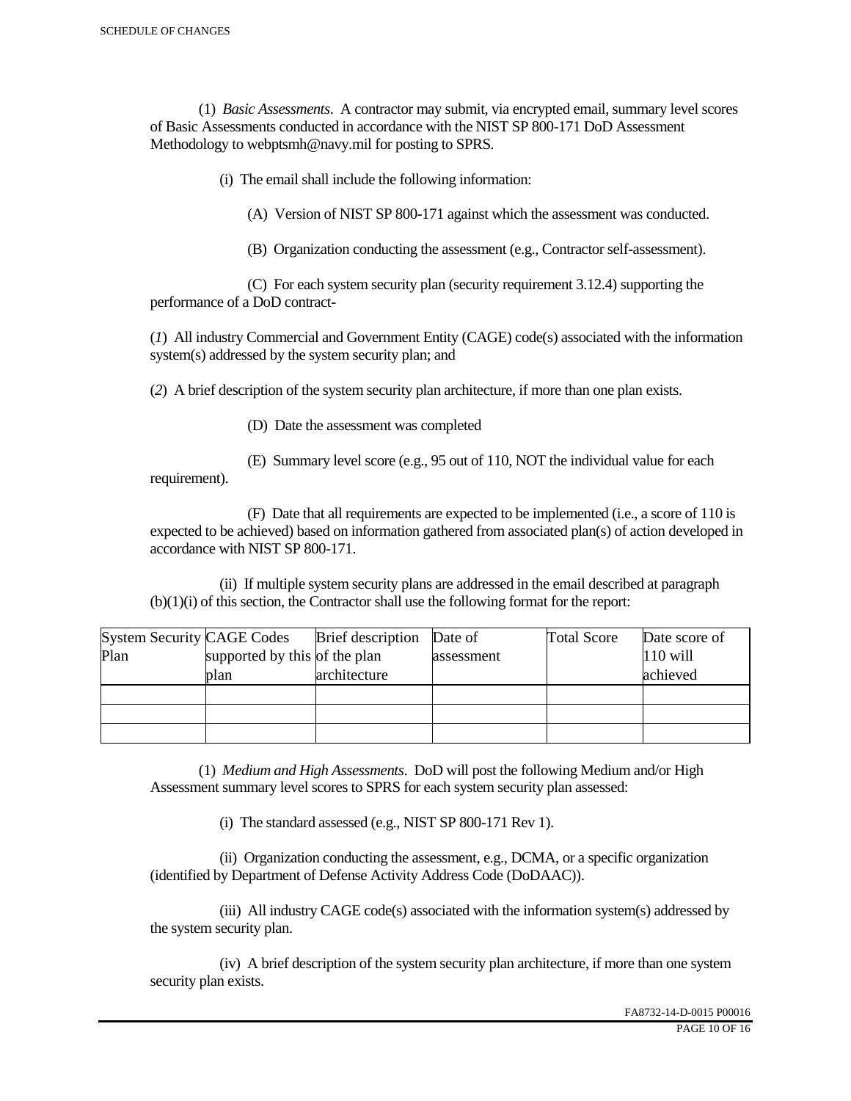(1) *Basic Assessments*. A contractor may submit, via encrypted email, summary level scores of Basic Assessments conducted in accordance with the NIST SP 800-171 DoD Assessment Methodology to webptsmh@navy.mil for posting to SPRS.

(i) The email shall include the following information:

(A) Version of NIST SP 800-171 against which the assessment was conducted.

(B) Organization conducting the assessment (e.g., Contractor self-assessment).

 (C) For each system security plan (security requirement 3.12.4) supporting the performance of a DoD contract-

(*1*) All industry Commercial and Government Entity (CAGE) code(s) associated with the information system(s) addressed by the system security plan; and

(*2*) A brief description of the system security plan architecture, if more than one plan exists.

(D) Date the assessment was completed

requirement).

(E) Summary level score (e.g., 95 out of 110, NOT the individual value for each

 (F) Date that all requirements are expected to be implemented (i.e., a score of 110 is expected to be achieved) based on information gathered from associated plan(s) of action developed in accordance with NIST SP 800-171.

 (ii) If multiple system security plans are addressed in the email described at paragraph (b)(1)(i) of this section, the Contractor shall use the following format for the report:

| <b>System Security CAGE Codes</b> |                               | <b>Brief</b> description | Date of    | <b>Total Score</b> | Date score of |
|-----------------------------------|-------------------------------|--------------------------|------------|--------------------|---------------|
| Plan                              | supported by this of the plan |                          | assessment |                    | $110$ will    |
|                                   | plan                          | architecture             |            |                    | achieved      |
|                                   |                               |                          |            |                    |               |
|                                   |                               |                          |            |                    |               |
|                                   |                               |                          |            |                    |               |

 (1) *Medium and High Assessments*. DoD will post the following Medium and/or High Assessment summary level scores to SPRS for each system security plan assessed:

(i) The standard assessed (e.g., NIST SP 800-171 Rev 1).

 (ii) Organization conducting the assessment, e.g., DCMA, or a specific organization (identified by Department of Defense Activity Address Code (DoDAAC)).

 (iii) All industry CAGE code(s) associated with the information system(s) addressed by the system security plan.

 (iv) A brief description of the system security plan architecture, if more than one system security plan exists.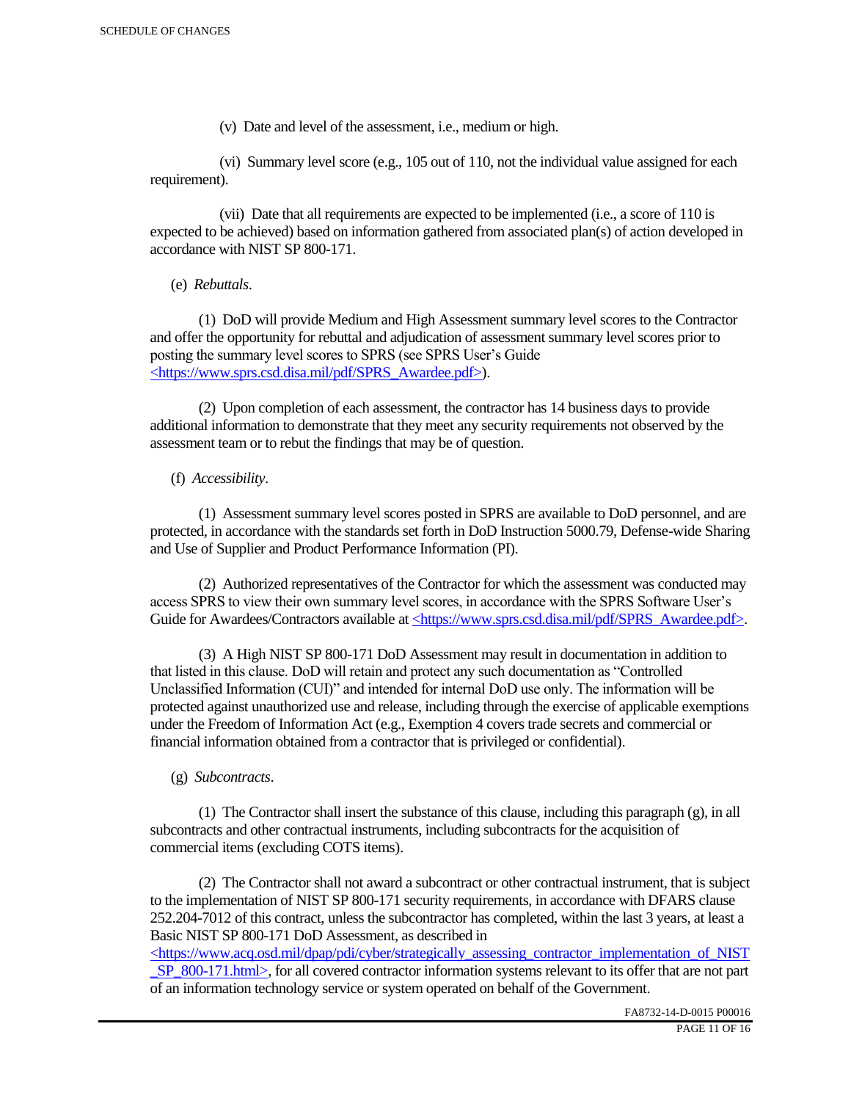(v) Date and level of the assessment, i.e., medium or high.

 (vi) Summary level score (e.g., 105 out of 110, not the individual value assigned for each requirement).

 (vii) Date that all requirements are expected to be implemented (i.e., a score of 110 is expected to be achieved) based on information gathered from associated plan(s) of action developed in accordance with NIST SP 800-171.

(e) *Rebuttals*.

 (1) DoD will provide Medium and High Assessment summary level scores to the Contractor and offer the opportunity for rebuttal and adjudication of assessment summary level scores prior to posting the summary level scores to SPRS (see SPRS User's Guide <https://www.sprs.csd.disa.mil/pdf/SPRS\_Awardee.pdf>).

 (2) Upon completion of each assessment, the contractor has 14 business days to provide additional information to demonstrate that they meet any security requirements not observed by the assessment team or to rebut the findings that may be of question.

## (f) *Accessibility*.

 (1) Assessment summary level scores posted in SPRS are available to DoD personnel, and are protected, in accordance with the standards set forth in DoD Instruction 5000.79, Defense-wide Sharing and Use of Supplier and Product Performance Information (PI).

 (2) Authorized representatives of the Contractor for which the assessment was conducted may access SPRS to view their own summary level scores, in accordance with the SPRS Software User's Guide for Awardees/Contractors available at <https://www.sprs.csd.disa.mil/pdf/SPRS\_Awardee.pdf>.

 (3) A High NIST SP 800-171 DoD Assessment may result in documentation in addition to that listed in this clause. DoD will retain and protect any such documentation as "Controlled Unclassified Information (CUI)" and intended for internal DoD use only. The information will be protected against unauthorized use and release, including through the exercise of applicable exemptions under the Freedom of Information Act (e.g., Exemption 4 covers trade secrets and commercial or financial information obtained from a contractor that is privileged or confidential).

## (g) *Subcontracts*.

(1) The Contractor shall insert the substance of this clause, including this paragraph  $(g)$ , in all subcontracts and other contractual instruments, including subcontracts for the acquisition of commercial items (excluding COTS items).

 (2) The Contractor shall not award a subcontract or other contractual instrument, that is subject to the implementation of NIST SP 800-171 security requirements, in accordance with DFARS clause 252.204-7012 of this contract, unless the subcontractor has completed, within the last 3 years, at least a Basic NIST SP 800-171 DoD Assessment, as described in

 $\langle$ https://www.acq.osd.mil/dpap/pdi/cyber/strategically\_assessing\_contractor\_implementation\_of\_NIST SP\_800-171.html>, for all covered contractor information systems relevant to its offer that are not part of an information technology service or system operated on behalf of the Government.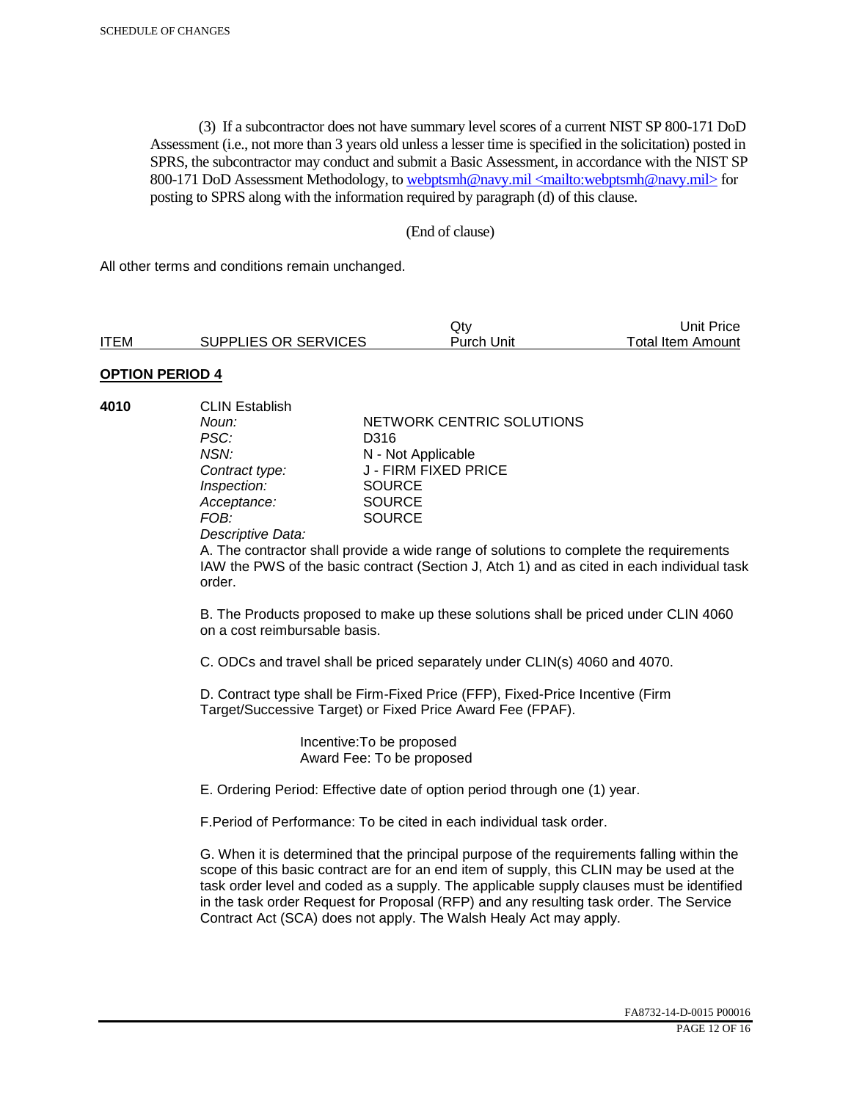(3) If a subcontractor does not have summary level scores of a current NIST SP 800-171 DoD Assessment (i.e., not more than 3 years old unless a lesser time is specified in the solicitation) posted in SPRS, the subcontractor may conduct and submit a Basic Assessment, in accordance with the NIST SP 800-171 DoD Assessment Methodology, to webptsmh@navy.mil <mailto:webptsmh@navy.mil> for posting to SPRS along with the information required by paragraph (d) of this clause.

#### (End of clause)

All other terms and conditions remain unchanged.

|             |                      | Jt∨        | Unit Price        |
|-------------|----------------------|------------|-------------------|
| <b>ITEM</b> | SUPPLIES OR SERVICES | Purch Unit | Total Item Amount |

### **OPTION PERIOD 4**

| 4010 | <b>CLIN Establish</b> |                           |  |
|------|-----------------------|---------------------------|--|
|      | Noun:                 | NETWORK CENTRIC SOLUTIONS |  |
|      | PSC:                  | D316                      |  |
|      | NSN:                  | N - Not Applicable        |  |
|      | Contract type:        | J - FIRM FIXED PRICE      |  |
|      | Inspection:           | <b>SOURCE</b>             |  |
|      | Acceptance:           | <b>SOURCE</b>             |  |
|      | FOB:                  | <b>SOURCE</b>             |  |
|      |                       |                           |  |

*Descriptive Data:* 

A. The contractor shall provide a wide range of solutions to complete the requirements IAW the PWS of the basic contract (Section J, Atch 1) and as cited in each individual task order.

B. The Products proposed to make up these solutions shall be priced under CLIN 4060 on a cost reimbursable basis.

C. ODCs and travel shall be priced separately under CLIN(s) 4060 and 4070.

D. Contract type shall be Firm-Fixed Price (FFP), Fixed-Price Incentive (Firm Target/Successive Target) or Fixed Price Award Fee (FPAF).

> Incentive:To be proposed Award Fee: To be proposed

E. Ordering Period: Effective date of option period through one (1) year.

F.Period of Performance: To be cited in each individual task order.

G. When it is determined that the principal purpose of the requirements falling within the scope of this basic contract are for an end item of supply, this CLIN may be used at the task order level and coded as a supply. The applicable supply clauses must be identified in the task order Request for Proposal (RFP) and any resulting task order. The Service Contract Act (SCA) does not apply. The Walsh Healy Act may apply.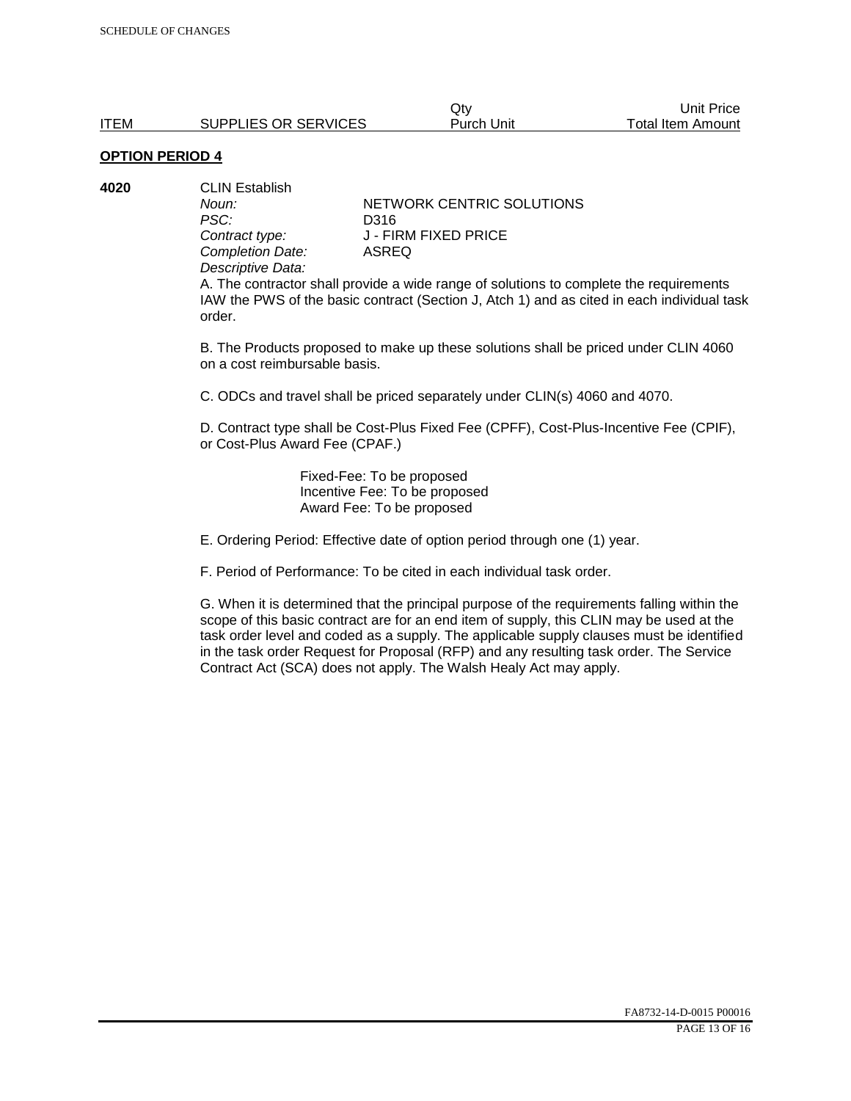|             |                      | Jt∨        | Jnit Price               |
|-------------|----------------------|------------|--------------------------|
| <b>ITEM</b> | SUPPLIES OR SERVICES | Purch Unit | <b>Total Item Amount</b> |
|             |                      |            |                          |

**4020** CLIN Establish *PSC:* D316 *Completion Date: Descriptive Data:* 

*Noun:* **NETWORK CENTRIC SOLUTIONS Contract type:** J - FIRM FIXED PRICE<br>
Completion Date: ASREQ

A. The contractor shall provide a wide range of solutions to complete the requirements IAW the PWS of the basic contract (Section J, Atch 1) and as cited in each individual task order.

B. The Products proposed to make up these solutions shall be priced under CLIN 4060 on a cost reimbursable basis.

C. ODCs and travel shall be priced separately under CLIN(s) 4060 and 4070.

D. Contract type shall be Cost-Plus Fixed Fee (CPFF), Cost-Plus-Incentive Fee (CPIF), or Cost-Plus Award Fee (CPAF.)

> Fixed-Fee: To be proposed Incentive Fee: To be proposed Award Fee: To be proposed

E. Ordering Period: Effective date of option period through one (1) year.

F. Period of Performance: To be cited in each individual task order.

G. When it is determined that the principal purpose of the requirements falling within the scope of this basic contract are for an end item of supply, this CLIN may be used at the task order level and coded as a supply. The applicable supply clauses must be identified in the task order Request for Proposal (RFP) and any resulting task order. The Service Contract Act (SCA) does not apply. The Walsh Healy Act may apply.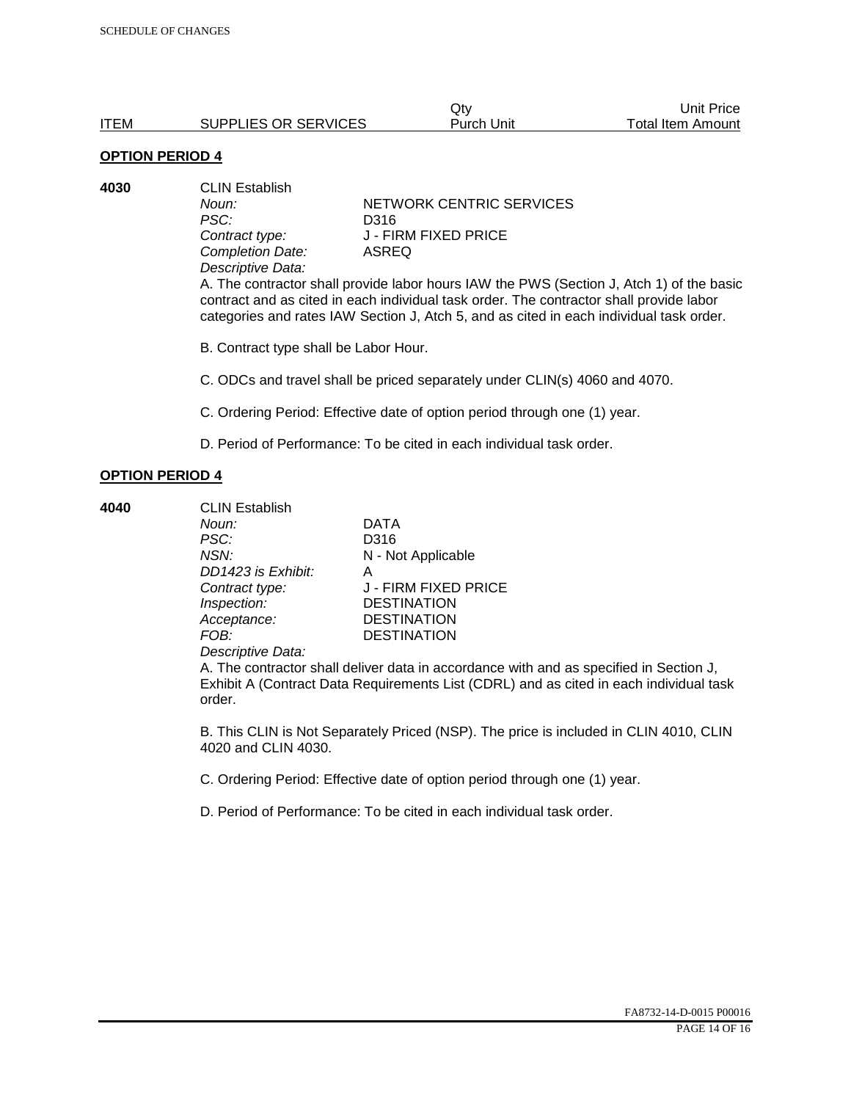| -------------- |                      |            |                          |
|----------------|----------------------|------------|--------------------------|
| <b>ITEM</b>    | SUPPLIES OR SERVICES | Purch Unit | <b>Total Item Amount</b> |
|                |                      | Qtv        | Unit Price               |

**4030** CLIN Establish PSC: D316<br>Contract type: J - FII *Completion Date: Descriptive Data:* 

*Noun:* **NETWORK CENTRIC SERVICES J** - FIRM FIXED PRICE<br>ASREQ

A. The contractor shall provide labor hours IAW the PWS (Section J, Atch 1) of the basic contract and as cited in each individual task order. The contractor shall provide labor categories and rates IAW Section J, Atch 5, and as cited in each individual task order.

B. Contract type shall be Labor Hour.

C. ODCs and travel shall be priced separately under CLIN(s) 4060 and 4070.

C. Ordering Period: Effective date of option period through one (1) year.

D. Period of Performance: To be cited in each individual task order.

#### **OPTION PERIOD 4**

**4040** CLIN Establish *Noun:* DATA *PSC:* D316 *NSN:* N - Not Applicable *DD1423 is Exhibit:* A *Inspection:* DESTINATION *Acceptance:* DESTINATION *FOB:* DESTINATION

*Contract type:* J - FIRM FIXED PRICE

*Descriptive Data:* 

A. The contractor shall deliver data in accordance with and as specified in Section J, Exhibit A (Contract Data Requirements List (CDRL) and as cited in each individual task order.

B. This CLIN is Not Separately Priced (NSP). The price is included in CLIN 4010, CLIN 4020 and CLIN 4030.

C. Ordering Period: Effective date of option period through one (1) year.

D. Period of Performance: To be cited in each individual task order.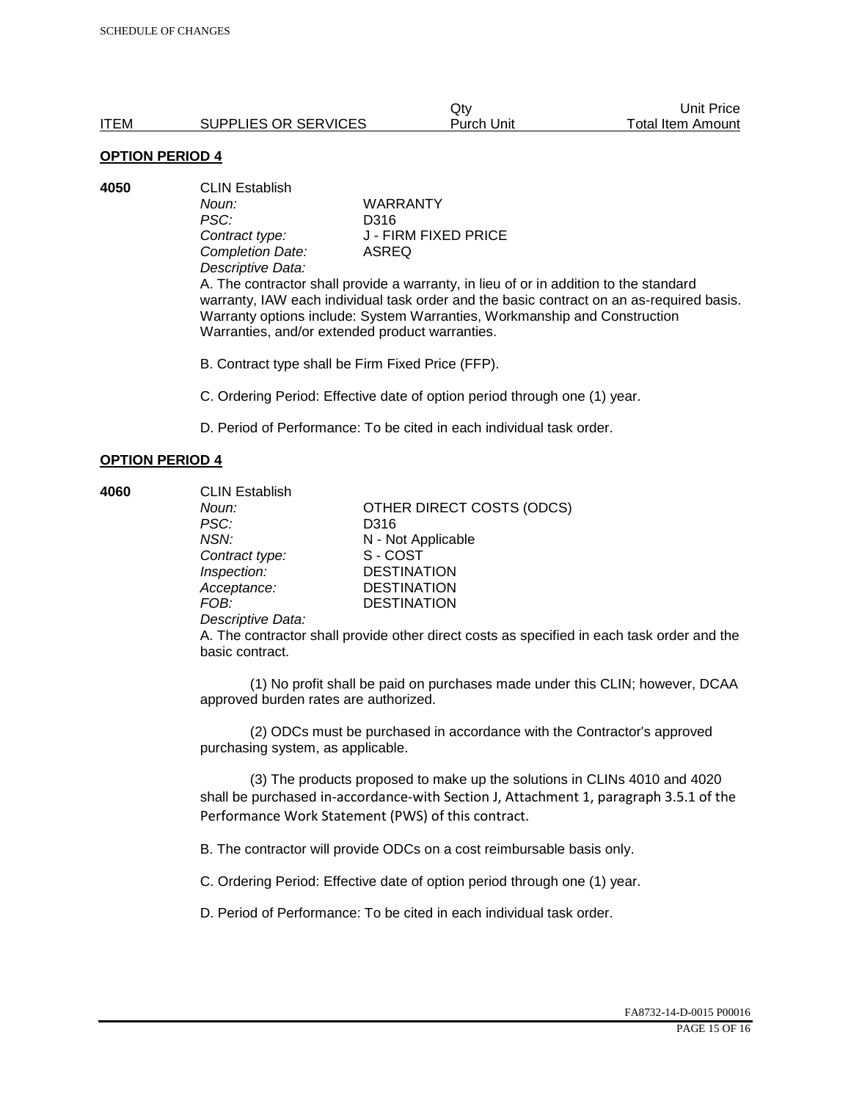|      |                      | Jt∨        | Unit Price        |
|------|----------------------|------------|-------------------|
| ITEM | SUPPLIES OR SERVICES | Purch Unit | Total Item Amount |

**4050** CLIN Establish *Noun:* WARRANTY *PSC:* D316 *Completion Date:* ASREQ *Descriptive Data:* 

*Contract type:* J - FIRM FIXED PRICE

A. The contractor shall provide a warranty, in lieu of or in addition to the standard warranty, IAW each individual task order and the basic contract on an as-required basis. Warranty options include: System Warranties, Workmanship and Construction Warranties, and/or extended product warranties.

B. Contract type shall be Firm Fixed Price (FFP).

C. Ordering Period: Effective date of option period through one (1) year.

D. Period of Performance: To be cited in each individual task order.

#### **OPTION PERIOD 4**

**4060** CLIN Establish *Noun:* **OTHER DIRECT COSTS (ODCS)** *PSC:* D316 *NSN:* N - Not Applicable *Contract type:* S - COST *Inspection:* DESTINATION *Acceptance:* DESTINATION *FOB:* DESTINATION *Descriptive Data:* 

> A. The contractor shall provide other direct costs as specified in each task order and the basic contract.

> (1) No profit shall be paid on purchases made under this CLIN; however, DCAA approved burden rates are authorized.

(2) ODCs must be purchased in accordance with the Contractor's approved purchasing system, as applicable.

(3) The products proposed to make up the solutions in CLINs 4010 and 4020 shall be purchased in-accordance-with Section J, Attachment 1, paragraph 3.5.1 of the Performance Work Statement (PWS) of this contract.

B. The contractor will provide ODCs on a cost reimbursable basis only.

C. Ordering Period: Effective date of option period through one (1) year.

D. Period of Performance: To be cited in each individual task order.